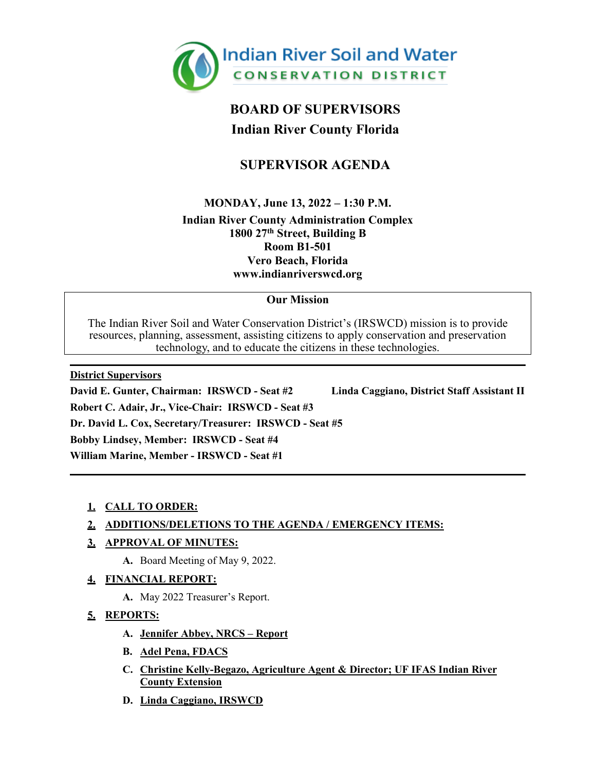

# **BOARD OF SUPERVISORS Indian River County Florida**

## **SUPERVISOR AGENDA**

**MONDAY, June 13, 2022 – 1:30 P.M.**

**Indian River County Administration Complex 1800 27th Street, Building B Room B1-501 Vero Beach, Florida [www.indianriverswcd.org](http://indianriverswcd.org/)**

### **Our Mission**

The Indian River Soil and Water Conservation District's (IRSWCD) mission is to provide resources, planning, assessment, assisting citizens to apply conservation and preservation technology, and to educate the citizens in these technologies.

**District Supervisors David E. Gunter, Chairman: IRSWCD - Seat #2 Linda Caggiano, District Staff Assistant II Robert C. Adair, Jr., Vice-Chair: IRSWCD - Seat #3 Dr. David L. Cox, Secretary/Treasurer: IRSWCD - Seat #5 Bobby Lindsey, Member: IRSWCD - Seat #4 William Marine, Member - IRSWCD - Seat #1**

### **1. CALL TO ORDER:**

### **2. ADDITIONS/DELETIONS TO THE AGENDA / EMERGENCY ITEMS:**

### **3. APPROVAL OF MINUTES:**

**A.** Board Meeting of May 9, 2022.

### **4. FINANCIAL REPORT:**

**A.** May 2022 Treasurer's Report.

### **5. REPORTS:**

- **A. Jennifer Abbey, NRCS – Report**
- **B. Adel Pena, FDACS**
- **C. Christine Kelly-Begazo, Agriculture Agent & Director; UF IFAS Indian River County Extension**
- **D. Linda Caggiano, IRSWCD**